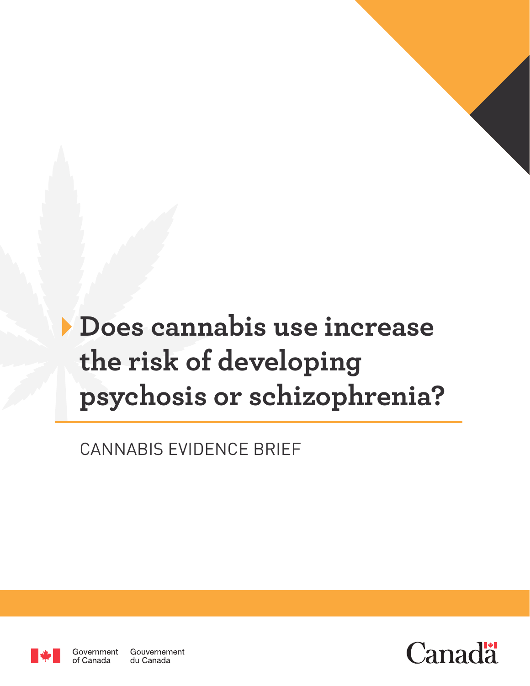# **Does cannabis use increase the risk of developing psychosis or schizophrenia?**

CANNABIS EVIDENCE BRIEF



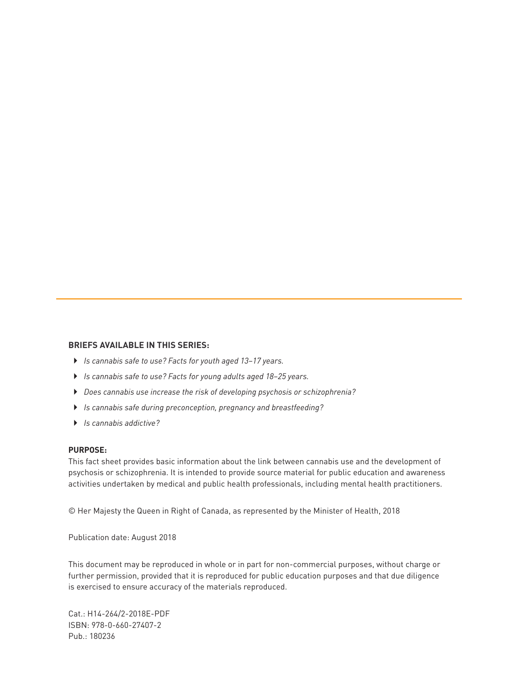#### **BRIEFS AVAILABLE IN THIS SERIES:**

- ` *Is cannabis safe to use? Facts for youth aged 13–17 years.*
- ` *Is cannabis safe to use? Facts for young adults aged 18–25 years.*
- ` *Does cannabis use increase the risk of developing psychosis or schizophrenia?*
- ` *Is cannabis safe during preconception, pregnancy and breastfeeding?*
- ` *Is cannabis addictive?*

#### **PURPOSE:**

This fact sheet provides basic information about the link between cannabis use and the development of psychosis or schizophrenia. It is intended to provide source material for public education and awareness activities undertaken by medical and public health professionals, including mental health practitioners.

© Her Majesty the Queen in Right of Canada, as represented by the Minister of Health, 2018

Publication date: August 2018

This document may be reproduced in whole or in part for non-commercial purposes, without charge or further permission, provided that it is reproduced for public education purposes and that due diligence is exercised to ensure accuracy of the materials reproduced.

Cat.: H14-264/2-2018E-PDF ISBN: 978-0-660-27407-2 Pub.: 180236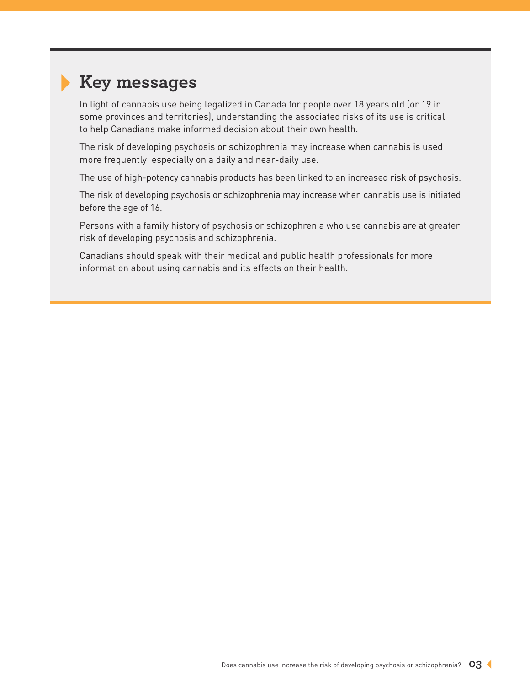# **Key messages**

In light of cannabis use being legalized in Canada for people over 18 years old (or 19 in some provinces and territories), understanding the associated risks of its use is critical to help Canadians make informed decision about their own health.

The risk of developing psychosis or schizophrenia may increase when cannabis is used more frequently, especially on a daily and near-daily use.

The use of high-potency cannabis products has been linked to an increased risk of psychosis.

The risk of developing psychosis or schizophrenia may increase when cannabis use is initiated before the age of 16.

Persons with a family history of psychosis or schizophrenia who use cannabis are at greater risk of developing psychosis and schizophrenia.

Canadians should speak with their medical and public health professionals for more information about using cannabis and its effects on their health.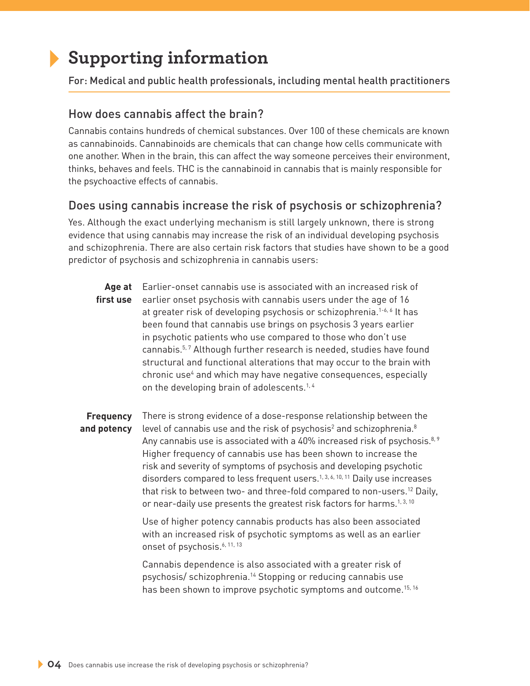## **Supporting information**

For: Medical and public health professionals, including mental health practitioners

#### How does cannabis affect the brain?

Cannabis contains hundreds of chemical substances. Over 100 of these chemicals are known as cannabinoids. Cannabinoids are chemicals that can change how cells communicate with one another. When in the brain, this can affect the way someone perceives their environment, thinks, behaves and feels. THC is the cannabinoid in cannabis that is mainly responsible for the psychoactive effects of cannabis.

### Does using cannabis increase the risk of psychosis or schizophrenia?

Yes. Although the exact underlying mechanism is still largely unknown, there is strong evidence that using cannabis may increase the risk of an individual developing psychosis and schizophrenia. There are also certain risk factors that studies have shown to be a good predictor of psychosis and schizophrenia in cannabis users:

**Age at**  Earlier-onset cannabis use is associated with an increased risk of **first use** earlier onset psychosis with cannabis users under the age of 16 at greater risk of developing psychosis or schizophrenia.1-6, 6 It has been found that cannabis use brings on psychosis 3 years earlier in psychotic patients who use compared to those who don't use cannabis.<sup>5,7</sup> Although further research is needed, studies have found structural and functional alterations that may occur to the brain with chronic use<sup>4</sup> and which may have negative consequences, especially on the developing brain of adolescents.<sup>1,4</sup>

**Frequency and potency** There is strong evidence of a dose-response relationship between the level of cannabis use and the risk of psychosis<sup>2</sup> and schizophrenia.<sup>8</sup> Any cannabis use is associated with a 40% increased risk of psychosis.<sup>8, 9</sup> Higher frequency of cannabis use has been shown to increase the risk and severity of symptoms of psychosis and developing psychotic disorders compared to less frequent users.<sup>1, 3, 6, 10, 11</sup> Daily use increases that risk to between two- and three-fold compared to non-users.<sup>12</sup> Daily, or near-daily use presents the greatest risk factors for harms.<sup>1,3, 10</sup>

> Use of higher potency cannabis products has also been associated with an increased risk of psychotic symptoms as well as an earlier onset of psychosis.<sup>6, 11, 13</sup>

> Cannabis dependence is also associated with a greater risk of psychosis/ schizophrenia.14 Stopping or reducing cannabis use has been shown to improve psychotic symptoms and outcome.<sup>15, 16</sup>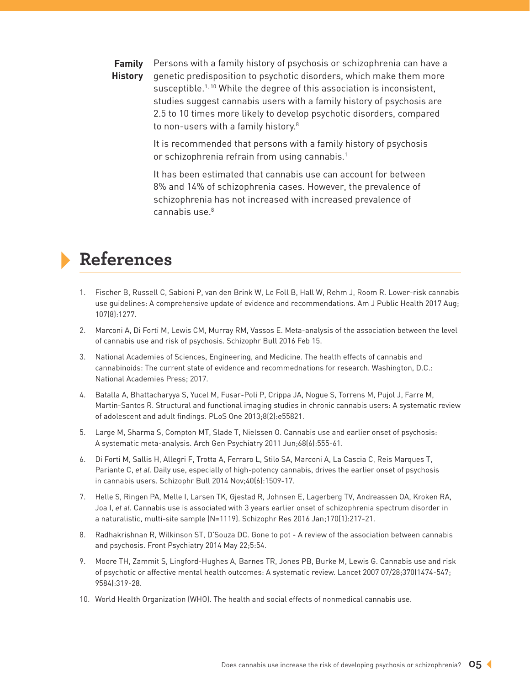**Family**  Persons with a family history of psychosis or schizophrenia can have a **History** genetic predisposition to psychotic disorders, which make them more susceptible.<sup>1, 10</sup> While the degree of this association is inconsistent, studies suggest cannabis users with a family history of psychosis are 2.5 to 10 times more likely to develop psychotic disorders, compared to non-users with a family history.<sup>8</sup>

> It is recommended that persons with a family history of psychosis or schizophrenia refrain from using cannabis.<sup>1</sup>

> It has been estimated that cannabis use can account for between 8% and 14% of schizophrenia cases. However, the prevalence of schizophrenia has not increased with increased prevalence of  $c$ annabis use $8$

### **References**

- 1. Fischer B, Russell C, Sabioni P, van den Brink W, Le Foll B, Hall W, Rehm J, Room R. Lower-risk cannabis use guidelines: A comprehensive update of evidence and recommendations. Am J Public Health 2017 Aug; 107(8):1277.
- 2. Marconi A, Di Forti M, Lewis CM, Murray RM, Vassos E. Meta-analysis of the association between the level of cannabis use and risk of psychosis. Schizophr Bull 2016 Feb 15.
- 3. National Academies of Sciences, Engineering, and Medicine. The health effects of cannabis and cannabinoids: The current state of evidence and recommednations for research. Washington, D.C.: National Academies Press; 2017.
- 4. Batalla A, Bhattacharyya S, Yucel M, Fusar-Poli P, Crippa JA, Nogue S, Torrens M, Pujol J, Farre M, Martin-Santos R. Structural and functional imaging studies in chronic cannabis users: A systematic review of adolescent and adult findings. PLoS One 2013;8(2):e55821.
- 5. Large M, Sharma S, Compton MT, Slade T, Nielssen O. Cannabis use and earlier onset of psychosis: A systematic meta-analysis. Arch Gen Psychiatry 2011 Jun;68(6):555-61.
- 6. Di Forti M, Sallis H, Allegri F, Trotta A, Ferraro L, Stilo SA, Marconi A, La Cascia C, Reis Marques T, Pariante C, *et al.* Daily use, especially of high-potency cannabis, drives the earlier onset of psychosis in cannabis users. Schizophr Bull 2014 Nov;40(6):1509-17.
- 7. Helle S, Ringen PA, Melle I, Larsen TK, Gjestad R, Johnsen E, Lagerberg TV, Andreassen OA, Kroken RA, Joa I, *et al.* Cannabis use is associated with 3 years earlier onset of schizophrenia spectrum disorder in a naturalistic, multi-site sample (N=1119). Schizophr Res 2016 Jan;170(1):217-21.
- 8. Radhakrishnan R, Wilkinson ST, D'Souza DC. Gone to pot A review of the association between cannabis and psychosis. Front Psychiatry 2014 May 22;5:54.
- 9. Moore TH, Zammit S, Lingford-Hughes A, Barnes TR, Jones PB, Burke M, Lewis G. Cannabis use and risk of psychotic or affective mental health outcomes: A systematic review. Lancet 2007 07/28;370(1474-547; 9584):319-28.
- 10. World Health Organization (WHO). The health and social effects of nonmedical cannabis use.